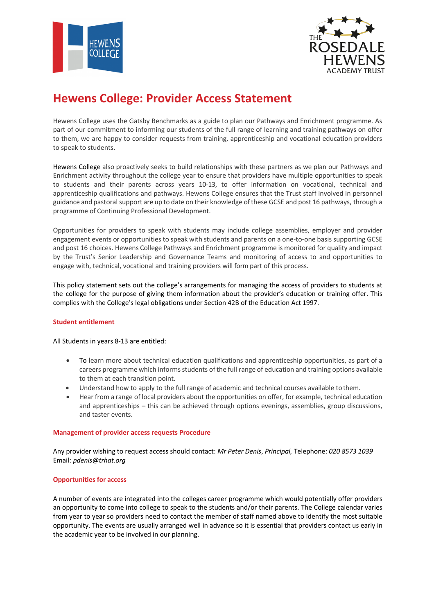



# **Hewens College: Provider Access Statement**

Hewens College uses the Gatsby Benchmarks as a guide to plan our Pathways and Enrichment programme. As part of our commitment to informing our students of the full range of learning and training pathways on offer to them, we are happy to consider requests from training, apprenticeship and vocational education providers to speak to students.

Hewens College also proactively seeks to build relationships with these partners as we plan our Pathways and Enrichment activity throughout the college year to ensure that providers have multiple opportunities to speak to students and their parents across years 10-13, to offer information on vocational, technical and apprenticeship qualifications and pathways. Hewens College ensures that the Trust staff involved in personnel guidance and pastoral support are up to date on their knowledge of these GCSE and post 16 pathways, through a programme of Continuing Professional Development.

Opportunities for providers to speak with students may include college assemblies, employer and provider engagement events or opportunities to speak with students and parents on a one-to-one basis supporting GCSE and post 16 choices. Hewens College Pathways and Enrichment programme is monitored for quality and impact by the Trust's Senior Leadership and Governance Teams and monitoring of access to and opportunities to engage with, technical, vocational and training providers will form part of this process.

This policy statement sets out the college's arrangements for managing the access of providers to students at the college for the purpose of giving them information about the provider's education or training offer. This complies with the College's legal obligations under Section 42B of the Education Act 1997.

## **Student entitlement**

All Students in years 8-13 are entitled:

- To learn more about technical education qualifications and apprenticeship opportunities, as part of a careers programme which informsstudents of the full range of education and training options available to them at each transition point.
- Understand how to apply to the full range of academic and technical courses available tothem.
- Hear from a range of local providers about the opportunities on offer, for example, technical education and apprenticeships – this can be achieved through options evenings, assemblies, group discussions, and taster events.

#### **Management of provider access requests Procedure**

Any provider wishing to request access should contact: *Mr Peter Denis*, *Principal,* Telephone: *020 8573 1039* Email: *pdenis@trhat.org*

#### **Opportunities for access**

A number of events are integrated into the colleges career programme which would potentially offer providers an opportunity to come into college to speak to the students and/or their parents. The College calendar varies from year to year so providers need to contact the member of staff named above to identify the most suitable opportunity. The events are usually arranged well in advance so it is essential that providers contact us early in the academic year to be involved in our planning.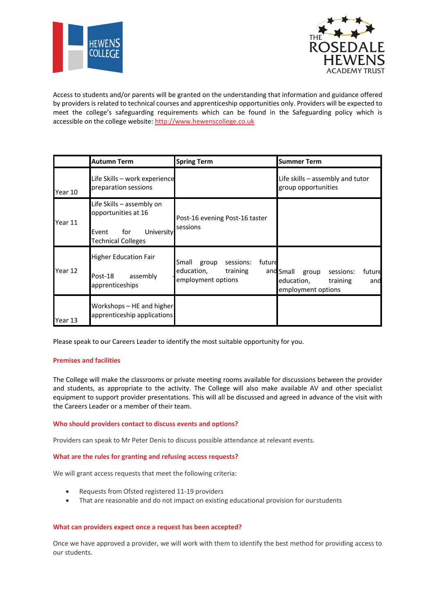



Access to students and/or parents will be granted on the understanding that information and guidance offered by providers is related to technical courses and apprenticeship opportunities only. Providers will be expected to meet the college's safeguarding requirements which can be found in the Safeguarding policy which is accessible on the college website: http://www.hewenscollege.co.uk

|         | <b>Autumn Term</b>                                                                                          | <b>Spring Term</b>                                                                    | <b>Summer Term</b>                                                                               |
|---------|-------------------------------------------------------------------------------------------------------------|---------------------------------------------------------------------------------------|--------------------------------------------------------------------------------------------------|
| Year 10 | Life Skills - work experience<br>preparation sessions                                                       |                                                                                       | Life skills - assembly and tutor<br>group opportunities                                          |
| Year 11 | Life Skills – assembly on<br>opportunities at 16<br>University<br>Event<br>for<br><b>Technical Colleges</b> | Post-16 evening Post-16 taster<br>sessions                                            |                                                                                                  |
| Year 12 | <b>Higher Education Fair</b><br>assembly<br>Post-18<br>apprenticeships                                      | future<br>sessions:<br>Small<br>group<br>education,<br>training<br>employment options | and Small<br>sessions:<br>future<br>group<br>education,<br>training<br>and<br>employment options |
| Year 13 | Workshops - HE and higher<br>apprenticeship applications                                                    |                                                                                       |                                                                                                  |

Please speak to our Careers Leader to identify the most suitable opportunity for you.

#### **Premises and facilities**

The College will make the classrooms or private meeting rooms available for discussions between the provider and students, as appropriate to the activity. The College will also make available AV and other specialist equipment to support provider presentations. This will all be discussed and agreed in advance of the visit with the Careers Leader or a member of their team.

#### **Who should providers contact to discuss events and options?**

Providers can speak to Mr Peter Denis to discuss possible attendance at relevant events.

### **What are the rules for granting and refusing access requests?**

We will grant access requests that meet the following criteria:

- Requests from Ofsted registered 11-19 providers
- That are reasonable and do not impact on existing educational provision for ourstudents

#### **What can providers expect once a request has been accepted?**

Once we have approved a provider, we will work with them to identify the best method for providing access to our students.